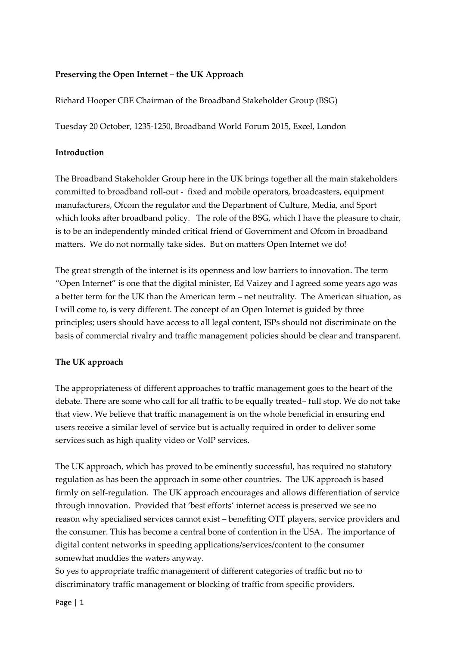# **Preserving the Open Internet – the UK Approach**

Richard Hooper CBE Chairman of the Broadband Stakeholder Group (BSG)

Tuesday 20 October, 1235-1250, Broadband World Forum 2015, Excel, London

#### **Introduction**

The Broadband Stakeholder Group here in the UK brings together all the main stakeholders committed to broadband roll-out - fixed and mobile operators, broadcasters, equipment manufacturers, Ofcom the regulator and the Department of Culture, Media, and Sport which looks after broadband policy. The role of the BSG, which I have the pleasure to chair, is to be an independently minded critical friend of Government and Ofcom in broadband matters. We do not normally take sides. But on matters Open Internet we do!

The great strength of the internet is its openness and low barriers to innovation. The term "Open Internet" is one that the digital minister, Ed Vaizey and I agreed some years ago was a better term for the UK than the American term – net neutrality. The American situation, as I will come to, is very different. The concept of an Open Internet is guided by three principles; users should have access to all legal content, ISPs should not discriminate on the basis of commercial rivalry and traffic management policies should be clear and transparent.

### **The UK approach**

The appropriateness of different approaches to traffic management goes to the heart of the debate. There are some who call for all traffic to be equally treated– full stop. We do not take that view. We believe that traffic management is on the whole beneficial in ensuring end users receive a similar level of service but is actually required in order to deliver some services such as high quality video or VoIP services.

The UK approach, which has proved to be eminently successful, has required no statutory regulation as has been the approach in some other countries. The UK approach is based firmly on self-regulation. The UK approach encourages and allows differentiation of service through innovation. Provided that 'best efforts' internet access is preserved we see no reason why specialised services cannot exist – benefiting OTT players, service providers and the consumer. This has become a central bone of contention in the USA. The importance of digital content networks in speeding applications/services/content to the consumer somewhat muddies the waters anyway.

So yes to appropriate traffic management of different categories of traffic but no to discriminatory traffic management or blocking of traffic from specific providers.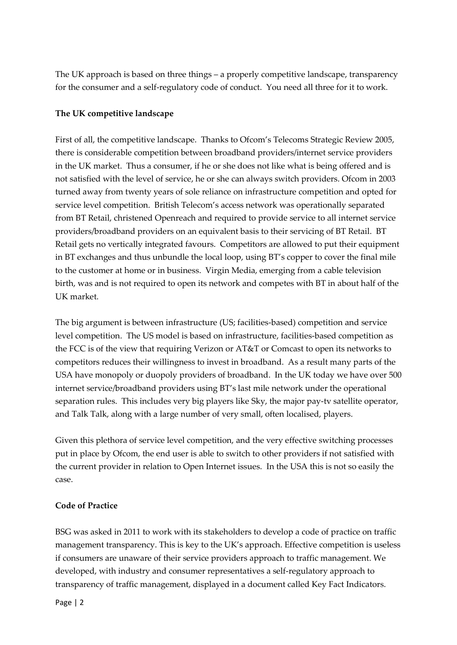The UK approach is based on three things – a properly competitive landscape, transparency for the consumer and a self-regulatory code of conduct. You need all three for it to work.

# **The UK competitive landscape**

First of all, the competitive landscape. Thanks to Ofcom's Telecoms Strategic Review 2005, there is considerable competition between broadband providers/internet service providers in the UK market. Thus a consumer, if he or she does not like what is being offered and is not satisfied with the level of service, he or she can always switch providers. Ofcom in 2003 turned away from twenty years of sole reliance on infrastructure competition and opted for service level competition. British Telecom's access network was operationally separated from BT Retail, christened Openreach and required to provide service to all internet service providers/broadband providers on an equivalent basis to their servicing of BT Retail. BT Retail gets no vertically integrated favours. Competitors are allowed to put their equipment in BT exchanges and thus unbundle the local loop, using BT's copper to cover the final mile to the customer at home or in business. Virgin Media, emerging from a cable television birth, was and is not required to open its network and competes with BT in about half of the UK market.

The big argument is between infrastructure (US; facilities-based) competition and service level competition. The US model is based on infrastructure, facilities-based competition as the FCC is of the view that requiring Verizon or AT&T or Comcast to open its networks to competitors reduces their willingness to invest in broadband. As a result many parts of the USA have monopoly or duopoly providers of broadband. In the UK today we have over 500 internet service/broadband providers using BT's last mile network under the operational separation rules. This includes very big players like Sky, the major pay-tv satellite operator, and Talk Talk, along with a large number of very small, often localised, players.

Given this plethora of service level competition, and the very effective switching processes put in place by Ofcom, the end user is able to switch to other providers if not satisfied with the current provider in relation to Open Internet issues. In the USA this is not so easily the case.

### **Code of Practice**

BSG was asked in 2011 to work with its stakeholders to develop a code of practice on traffic management transparency. This is key to the UK's approach. Effective competition is useless if consumers are unaware of their service providers approach to traffic management. We developed, with industry and consumer representatives a self-regulatory approach to transparency of traffic management, displayed in a document called Key Fact Indicators.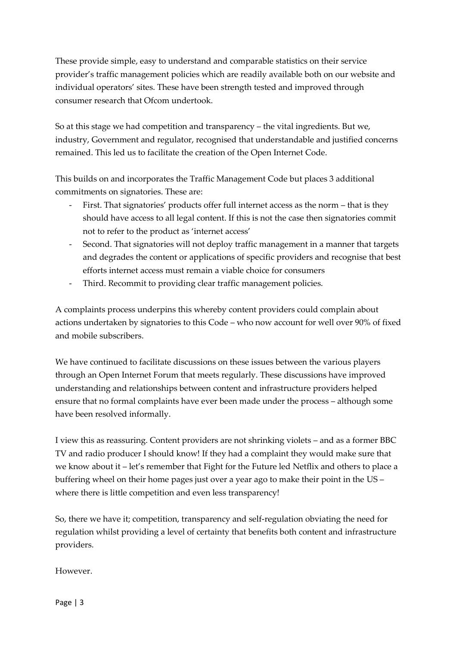These provide simple, easy to understand and comparable statistics on their service provider's traffic management policies which are readily available both on our website and individual operators' sites. These have been strength tested and improved through consumer research that Ofcom undertook.

So at this stage we had competition and transparency – the vital ingredients. But we, industry, Government and regulator, recognised that understandable and justified concerns remained. This led us to facilitate the creation of the Open Internet Code.

This builds on and incorporates the Traffic Management Code but places 3 additional commitments on signatories. These are:

- First. That signatories' products offer full internet access as the norm that is they should have access to all legal content. If this is not the case then signatories commit not to refer to the product as 'internet access'
- Second. That signatories will not deploy traffic management in a manner that targets and degrades the content or applications of specific providers and recognise that best efforts internet access must remain a viable choice for consumers
- Third. Recommit to providing clear traffic management policies.

A complaints process underpins this whereby content providers could complain about actions undertaken by signatories to this Code – who now account for well over 90% of fixed and mobile subscribers.

We have continued to facilitate discussions on these issues between the various players through an Open Internet Forum that meets regularly. These discussions have improved understanding and relationships between content and infrastructure providers helped ensure that no formal complaints have ever been made under the process – although some have been resolved informally.

I view this as reassuring. Content providers are not shrinking violets – and as a former BBC TV and radio producer I should know! If they had a complaint they would make sure that we know about it – let's remember that Fight for the Future led Netflix and others to place a buffering wheel on their home pages just over a year ago to make their point in the US – where there is little competition and even less transparency!

So, there we have it; competition, transparency and self-regulation obviating the need for regulation whilst providing a level of certainty that benefits both content and infrastructure providers.

However.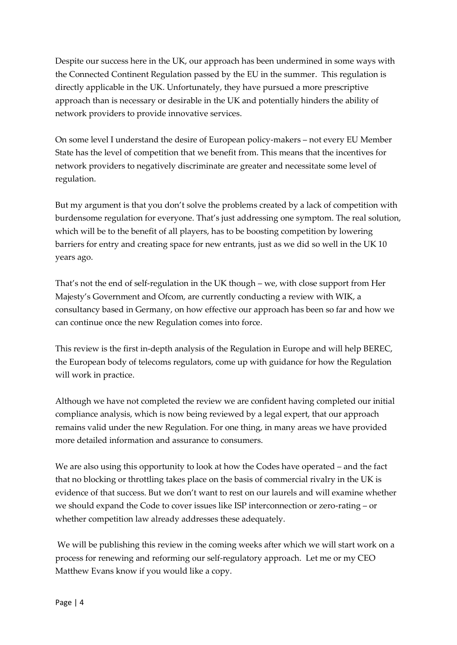Despite our success here in the UK, our approach has been undermined in some ways with the Connected Continent Regulation passed by the EU in the summer. This regulation is directly applicable in the UK. Unfortunately, they have pursued a more prescriptive approach than is necessary or desirable in the UK and potentially hinders the ability of network providers to provide innovative services.

On some level I understand the desire of European policy-makers – not every EU Member State has the level of competition that we benefit from. This means that the incentives for network providers to negatively discriminate are greater and necessitate some level of regulation.

But my argument is that you don't solve the problems created by a lack of competition with burdensome regulation for everyone. That's just addressing one symptom. The real solution, which will be to the benefit of all players, has to be boosting competition by lowering barriers for entry and creating space for new entrants, just as we did so well in the UK 10 years ago.

That's not the end of self-regulation in the UK though – we, with close support from Her Majesty's Government and Ofcom, are currently conducting a review with WIK, a consultancy based in Germany, on how effective our approach has been so far and how we can continue once the new Regulation comes into force.

This review is the first in-depth analysis of the Regulation in Europe and will help BEREC, the European body of telecoms regulators, come up with guidance for how the Regulation will work in practice.

Although we have not completed the review we are confident having completed our initial compliance analysis, which is now being reviewed by a legal expert, that our approach remains valid under the new Regulation. For one thing, in many areas we have provided more detailed information and assurance to consumers.

We are also using this opportunity to look at how the Codes have operated – and the fact that no blocking or throttling takes place on the basis of commercial rivalry in the UK is evidence of that success. But we don't want to rest on our laurels and will examine whether we should expand the Code to cover issues like ISP interconnection or zero-rating – or whether competition law already addresses these adequately.

We will be publishing this review in the coming weeks after which we will start work on a process for renewing and reforming our self-regulatory approach. Let me or my CEO Matthew Evans know if you would like a copy.